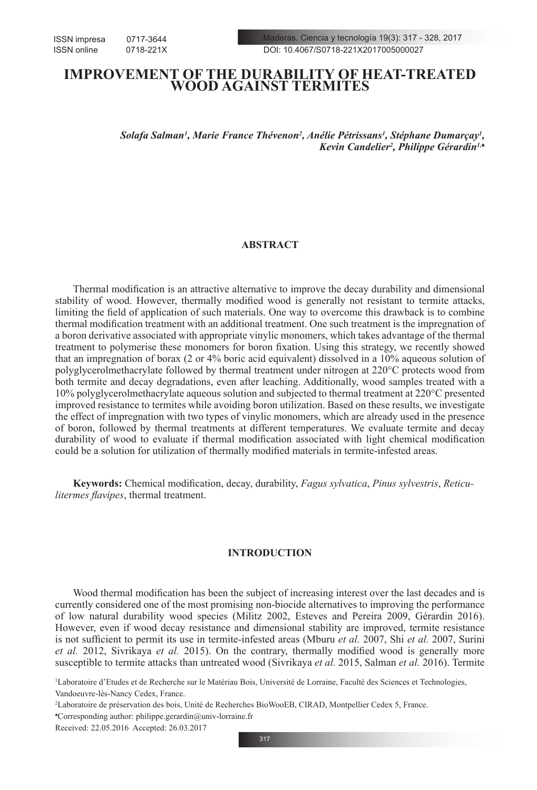Maderas. Ciencia y tecnología 19(3): 317 - 328, 2017 DOI: 10.4067/S0718-221X2017005000027

# **IMPROVEMENT OF THE DURABILITY OF HEAT-TREATED WOOD AGAINST TERMITES**

 $S$ olafa Salman<sup>ı</sup>, Marie France Thévenon<sup>2</sup>, Anélie Pétrissans<sup>ı</sup>, Stéphane Dumarçay<sup>ı</sup>, *Kevin Candelier2 , Philippe Gérardin1,♠*

# **ABSTRACT**

Thermal modification is an attractive alternative to improve the decay durability and dimensional stability of wood. However, thermally modified wood is generally not resistant to termite attacks, limiting the field of application of such materials. One way to overcome this drawback is to combine thermal modification treatment with an additional treatment. One such treatment is the impregnation of a boron derivative associated with appropriate vinylic monomers, which takes advantage of the thermal treatment to polymerise these monomers for boron fixation. Using this strategy, we recently showed that an impregnation of borax (2 or 4% boric acid equivalent) dissolved in a 10% aqueous solution of polyglycerolmethacrylate followed by thermal treatment under nitrogen at 220°C protects wood from both termite and decay degradations, even after leaching. Additionally, wood samples treated with a 10% polyglycerolmethacrylate aqueous solution and subjected to thermal treatment at 220°C presented improved resistance to termites while avoiding boron utilization. Based on these results, we investigate the effect of impregnation with two types of vinylic monomers, which are already used in the presence of boron, followed by thermal treatments at different temperatures. We evaluate termite and decay durability of wood to evaluate if thermal modification associated with light chemical modification could be a solution for utilization of thermally modified materials in termite-infested areas.

**Keywords:** Chemical modification, decay, durability, *Fagus sylvatica*, *Pinus sylvestris*, *Reticulitermes flavipes*, thermal treatment.

# **INTRODUCTION**

Wood thermal modification has been the subject of increasing interest over the last decades and is currently considered one of the most promising non-biocide alternatives to improving the performance of low natural durability wood species (Militz 2002, Esteves and Pereira 2009, Gérardin 2016). However, even if wood decay resistance and dimensional stability are improved, termite resistance is not sufficient to permit its use in termite-infested areas (Mburu *et al.* 2007, Shi *et al.* 2007, Surini *et al.* 2012, Sivrikaya *et al.* 2015). On the contrary, thermally modified wood is generally more susceptible to termite attacks than untreated wood (Sivrikaya *et al.* 2015, Salman *et al.* 2016). Termite

1 Laboratoire d'Etudes et de Recherche sur le Matériau Bois, Université de Lorraine, Faculté des Sciences et Technologies, Vandoeuvre-lès-Nancy Cedex, France.

2 Laboratoire de préservation des bois, Unité de Recherches BioWooEB, CIRAD, Montpellier Cedex 5, France.

♠ Corresponding author: philippe.gerardin@univ-lorraine.fr

Received: 22.05.2016 Accepted: 26.03.2017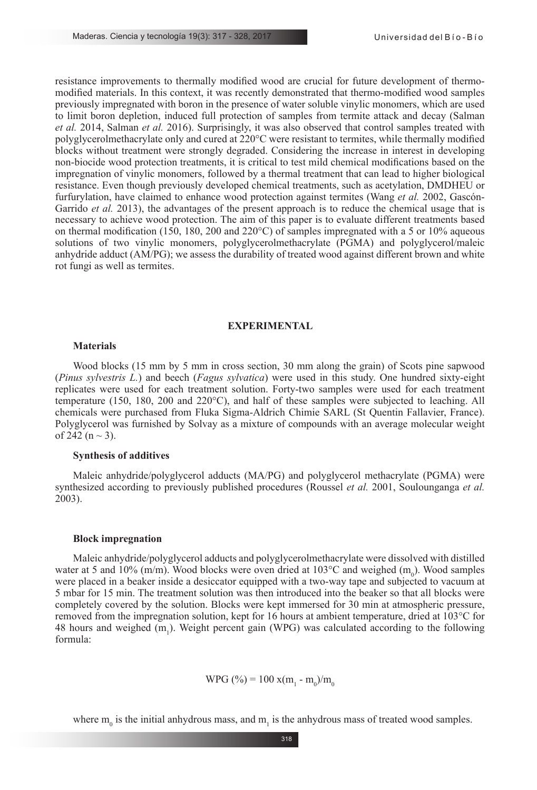resistance improvements to thermally modified wood are crucial for future development of thermomodified materials. In this context, it was recently demonstrated that thermo-modified wood samples previously impregnated with boron in the presence of water soluble vinylic monomers, which are used to limit boron depletion, induced full protection of samples from termite attack and decay (Salman *et al.* 2014, Salman *et al.* 2016). Surprisingly, it was also observed that control samples treated with polyglycerolmethacrylate only and cured at 220°C were resistant to termites, while thermally modified blocks without treatment were strongly degraded. Considering the increase in interest in developing non-biocide wood protection treatments, it is critical to test mild chemical modifications based on the impregnation of vinylic monomers, followed by a thermal treatment that can lead to higher biological resistance. Even though previously developed chemical treatments, such as acetylation, DMDHEU or furfurylation, have claimed to enhance wood protection against termites (Wang *et al.* 2002, Gascón-Garrido *et al.* 2013), the advantages of the present approach is to reduce the chemical usage that is necessary to achieve wood protection. The aim of this paper is to evaluate different treatments based on thermal modification (150, 180, 200 and 220 $^{\circ}$ C) of samples impregnated with a 5 or 10% aqueous solutions of two vinylic monomers, polyglycerolmethacrylate (PGMA) and polyglycerol/maleic anhydride adduct (AM/PG); we assess the durability of treated wood against different brown and white rot fungi as well as termites.

#### **EXPERIMENTAL**

# **Materials**

Wood blocks (15 mm by 5 mm in cross section, 30 mm along the grain) of Scots pine sapwood (*Pinus sylvestris L.*) and beech (*Fagus sylvatica*) were used in this study. One hundred sixty-eight replicates were used for each treatment solution. Forty-two samples were used for each treatment temperature (150, 180, 200 and 220°C), and half of these samples were subjected to leaching. All chemicals were purchased from Fluka Sigma-Aldrich Chimie SARL (St Quentin Fallavier, France). Polyglycerol was furnished by Solvay as a mixture of compounds with an average molecular weight of 242 ( $n \sim 3$ ).

# **Synthesis of additives**

Maleic anhydride/polyglycerol adducts (MA/PG) and polyglycerol methacrylate (PGMA) were synthesized according to previously published procedures (Roussel *et al.* 2001, Soulounganga *et al.* 2003).

#### **Block impregnation**

Maleic anhydride/polyglycerol adducts and polyglycerolmethacrylate were dissolved with distilled water at 5 and 10% (m/m). Wood blocks were oven dried at  $103^{\circ}$ C and weighed (m<sub>0</sub>). Wood samples were placed in a beaker inside a desiccator equipped with a two-way tape and subjected to vacuum at 5 mbar for 15 min. The treatment solution was then introduced into the beaker so that all blocks were completely covered by the solution. Blocks were kept immersed for 30 min at atmospheric pressure, removed from the impregnation solution, kept for 16 hours at ambient temperature, dried at 103°C for 48 hours and weighed  $(m_1)$ . Weight percent gain (WPG) was calculated according to the following formula:

WPG (
$$
\%
$$
) = 100 x(m<sub>1</sub> - m<sub>0</sub>)/m<sub>0</sub>

where  $m_0$  is the initial anhydrous mass, and  $m_1$  is the anhydrous mass of treated wood samples.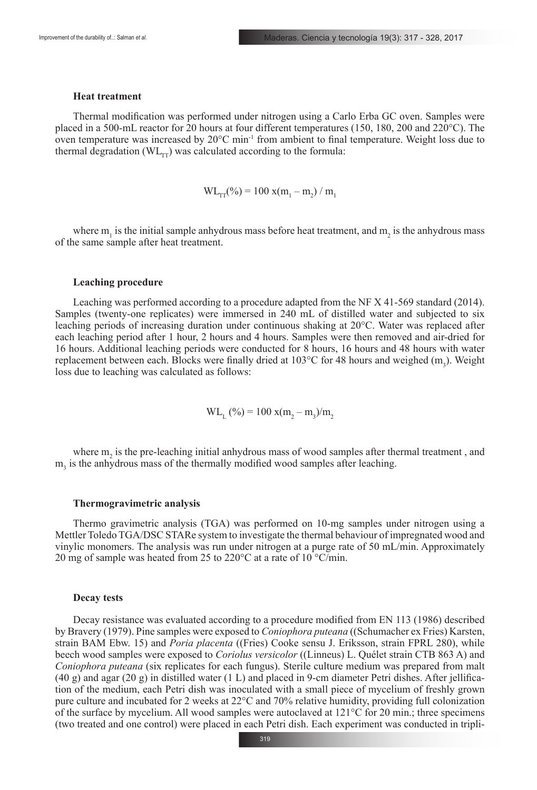### **Heat treatment**

Thermal modification was performed under nitrogen using a Carlo Erba GC oven. Samples were placed in a 500-mL reactor for 20 hours at four different temperatures (150, 180, 200 and 220°C). The oven temperature was increased by  $20^{\circ}$ C min<sup>-1</sup> from ambient to final temperature. Weight loss due to thermal degradation ( $WL_{rr}$ ) was calculated according to the formula:

$$
WL_{TT}(\%) = 100 \text{ x} (m_1 - m_2) / m_1
$$

where  $m_1$  is the initial sample anhydrous mass before heat treatment, and  $m_2$  is the anhydrous mass of the same sample after heat treatment.

#### **Leaching procedure**

Leaching was performed according to a procedure adapted from the NF X 41-569 standard (2014). Samples (twenty-one replicates) were immersed in 240 mL of distilled water and subjected to six leaching periods of increasing duration under continuous shaking at 20°C. Water was replaced after each leaching period after 1 hour, 2 hours and 4 hours. Samples were then removed and air-dried for 16 hours. Additional leaching periods were conducted for 8 hours, 16 hours and 48 hours with water replacement between each. Blocks were finally dried at  $103^{\circ}$ C for 48 hours and weighed (m<sub>3</sub>). Weight loss due to leaching was calculated as follows:

$$
WL_{L} (%) = 100 x (m_{2} - m_{3})/m_{2}
$$

where  $m_2$  is the pre-leaching initial anhydrous mass of wood samples after thermal treatment, and  $m<sub>3</sub>$  is the anhydrous mass of the thermally modified wood samples after leaching.

#### **Thermogravimetric analysis**

Thermo gravimetric analysis (TGA) was performed on 10-mg samples under nitrogen using a Mettler Toledo TGA/DSC STARe system to investigate the thermal behaviour of impregnated wood and vinylic monomers. The analysis was run under nitrogen at a purge rate of 50 mL/min. Approximately 20 mg of sample was heated from 25 to 220°C at a rate of 10 °C/min.

### **Decay tests**

Decay resistance was evaluated according to a procedure modified from EN 113 (1986) described by Bravery (1979). Pine samples were exposed to *Coniophora puteana* ((Schumacher ex Fries) Karsten, strain BAM Ebw. 15) and *Poria placenta* ((Fries) Cooke sensu J. Eriksson, strain FPRL 280), while beech wood samples were exposed to *Coriolus versicolor* ((Linneus) L. Quélet strain CTB 863 A) and *Coniophora puteana* (six replicates for each fungus). Sterile culture medium was prepared from malt (40 g) and agar (20 g) in distilled water (1 L) and placed in 9-cm diameter Petri dishes. After jellification of the medium, each Petri dish was inoculated with a small piece of mycelium of freshly grown pure culture and incubated for 2 weeks at 22°C and 70% relative humidity, providing full colonization of the surface by mycelium. All wood samples were autoclaved at 121°C for 20 min.; three specimens (two treated and one control) were placed in each Petri dish. Each experiment was conducted in tripli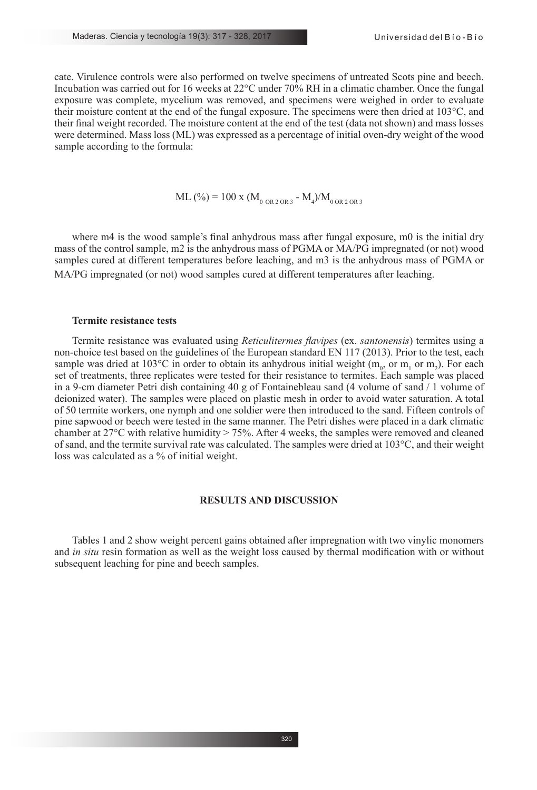cate. Virulence controls were also performed on twelve specimens of untreated Scots pine and beech. Incubation was carried out for 16 weeks at 22°C under 70% RH in a climatic chamber. Once the fungal exposure was complete, mycelium was removed, and specimens were weighed in order to evaluate their moisture content at the end of the fungal exposure. The specimens were then dried at 103°C, and their final weight recorded. The moisture content at the end of the test (data not shown) and mass losses were determined. Mass loss (ML) was expressed as a percentage of initial oven-dry weight of the wood sample according to the formula:

$$
ML (%) = 100 \text{ x } (M_{0 \text{ OR } 2 \text{ OR } 3} - M_4)/M_{0 \text{ OR } 2 \text{ OR } 3}
$$

where m4 is the wood sample's final anhydrous mass after fungal exposure, m0 is the initial dry mass of the control sample, m2 is the anhydrous mass of PGMA or MA/PG impregnated (or not) wood samples cured at different temperatures before leaching, and m3 is the anhydrous mass of PGMA or MA/PG impregnated (or not) wood samples cured at different temperatures after leaching.

# **Termite resistance tests**

Termite resistance was evaluated using *Reticulitermes flavipes* (ex. *santonensis*) termites using a non-choice test based on the guidelines of the European standard EN 117 (2013). Prior to the test, each sample was dried at 103°C in order to obtain its anhydrous initial weight ( $m_{\rho}$  or  $m_1$  or  $m_2$ ). For each set of treatments, three replicates were tested for their resistance to termites. Each sample was placed in a 9-cm diameter Petri dish containing 40 g of Fontainebleau sand (4 volume of sand / 1 volume of deionized water). The samples were placed on plastic mesh in order to avoid water saturation. A total of 50 termite workers, one nymph and one soldier were then introduced to the sand. Fifteen controls of pine sapwood or beech were tested in the same manner. The Petri dishes were placed in a dark climatic chamber at 27°C with relative humidity > 75%. After 4 weeks, the samples were removed and cleaned of sand, and the termite survival rate was calculated. The samples were dried at 103°C, and their weight loss was calculated as a % of initial weight.

# **RESULTS AND DISCUSSION**

Tables 1 and 2 show weight percent gains obtained after impregnation with two vinylic monomers and *in situ* resin formation as well as the weight loss caused by thermal modification with or without subsequent leaching for pine and beech samples.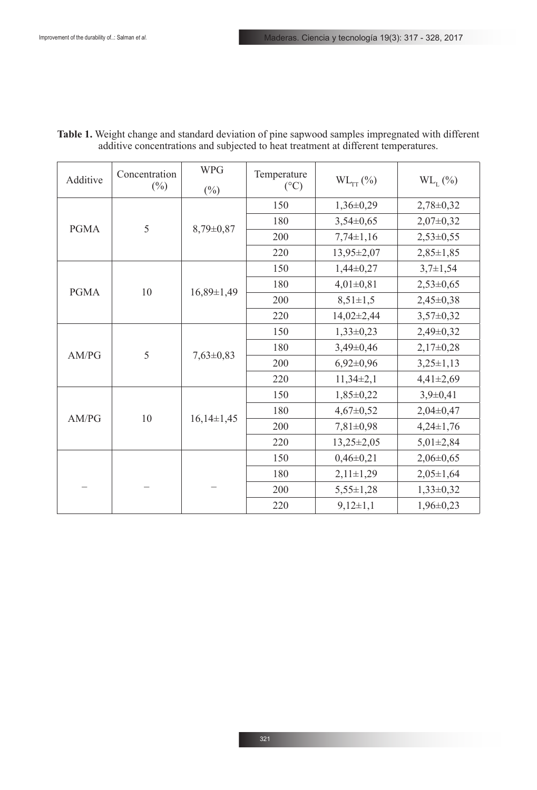| Additive    | Concentration<br>$(\%)$ | <b>WPG</b><br>$(\%)$ | Temperature<br>$({}^{\circ}C)$ | $WL_{TT} (\%)$   | $WL_{T}$ (%)    |
|-------------|-------------------------|----------------------|--------------------------------|------------------|-----------------|
|             | 5                       | 8,79±0,87            | 150                            | $1,36\pm0,29$    | $2,78 \pm 0,32$ |
|             |                         |                      | 180                            | $3,54\pm0,65$    | $2,07\pm0,32$   |
| <b>PGMA</b> |                         |                      | 200                            | $7,74\pm1,16$    | $2,53\pm0,55$   |
|             |                         |                      | 220                            | 13,95±2,07       | $2,85 \pm 1,85$ |
|             |                         | $16,89 \pm 1,49$     | 150                            | $1,44\pm0,27$    | $3,7\pm1,54$    |
| <b>PGMA</b> | $10\,$                  |                      | 180                            | $4,01\pm0,81$    | $2,53\pm0,65$   |
|             |                         |                      | 200                            | $8,51 \pm 1,5$   | $2,45\pm0,38$   |
|             |                         |                      | 220                            | $14,02\pm2,44$   | $3,57\pm0,32$   |
| AM/PG       | 5                       | $7,63\pm0,83$        | 150                            | $1,33\pm0,23$    | $2,49\pm0,32$   |
|             |                         |                      | 180                            | $3,49\pm0,46$    | $2,17\pm0,28$   |
|             |                         |                      | 200                            | $6,92\pm0,96$    | $3,25\pm1,13$   |
|             |                         |                      | 220                            | $11,34\pm2,1$    | $4,41\pm2,69$   |
|             |                         | $16,14\pm1,45$       | 150                            | $1,85\pm0,22$    | $3,9+0,41$      |
| AM/PG       | 10                      |                      | 180                            | $4,67 \pm 0,52$  | $2,04\pm0,47$   |
|             |                         |                      | 200                            | $7,81 \pm 0,98$  | $4,24\pm1,76$   |
|             |                         |                      | 220                            | $13,25 \pm 2,05$ | $5,01\pm2,84$   |
|             |                         |                      | 150                            | $0,46 \pm 0,21$  | $2,06 \pm 0,65$ |
|             |                         |                      | 180                            | $2,11 \pm 1,29$  | $2,05 \pm 1,64$ |
|             |                         |                      | 200                            | $5,55 \pm 1,28$  | $1,33\pm0,32$   |
|             |                         |                      | 220                            | $9,12 \pm 1,1$   | $1,96\pm0,23$   |

**Table 1.** Weight change and standard deviation of pine sapwood samples impregnated with different additive concentrations and subjected to heat treatment at different temperatures.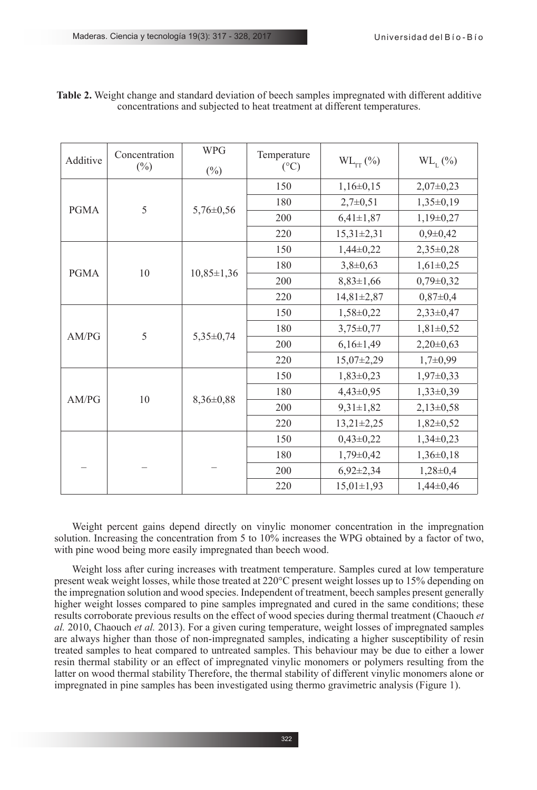| Additive    | Concentration<br>$(\%)$ | <b>WPG</b><br>$(\%)$ | Temperature<br>$({}^{\circ}C)$ | $WL_{TT} (\%)$   | $WL_{I}$ (%)   |
|-------------|-------------------------|----------------------|--------------------------------|------------------|----------------|
|             |                         | $5,76 \pm 0,56$      | 150                            | $1,16\pm0,15$    | $2,07\pm0,23$  |
|             | 5                       |                      | 180                            | $2,7+0,51$       | $1,35\pm0,19$  |
| <b>PGMA</b> |                         |                      | 200                            | $6,41\pm1,87$    | $1,19\pm0,27$  |
|             |                         |                      | 220                            | $15,31 \pm 2,31$ | $0,9\pm 0,42$  |
|             |                         |                      | 150                            | $1,44\pm0,22$    | $2,35\pm0,28$  |
| <b>PGMA</b> | 10                      | $10,85 \pm 1,36$     | 180                            | $3,8+0,63$       | $1,61\pm0,25$  |
|             |                         |                      | 200                            | $8,83 \pm 1,66$  | $0,79\pm0,32$  |
|             |                         |                      | 220                            | $14,81 \pm 2,87$ | $0,87\pm0,4$   |
| AM/PG       | 5                       | $5,35\pm0,74$        | 150                            | $1,58\pm0,22$    | $2,33\pm0,47$  |
|             |                         |                      | 180                            | $3,75 \pm 0,77$  | $1,81\pm0,52$  |
|             |                         |                      | 200                            | $6,16\pm1,49$    | $2,20\pm0,63$  |
|             |                         |                      | 220                            | $15,07\pm2,29$   | $1,7+0,99$     |
|             |                         | 8,36±0,88            | 150                            | $1,83\pm0,23$    | $1,97\pm0,33$  |
| AM/PG       | 10                      |                      | 180                            | $4,43\pm0,95$    | $1,33\pm0,39$  |
|             |                         |                      | 200                            | $9,31 \pm 1,82$  | $2,13\pm0,58$  |
|             |                         |                      | 220                            | $13,21 \pm 2,25$ | $1,82\pm0,52$  |
|             |                         |                      | 150                            | $0,43\pm0,22$    | $1,34\pm0,23$  |
|             |                         |                      | 180                            | $1,79 \pm 0,42$  | $1,36\pm0,18$  |
|             |                         |                      | 200                            | $6,92\pm2,34$    | $1,28 \pm 0,4$ |
|             |                         |                      | 220                            | $15,01 \pm 1,93$ | $1,44\pm0,46$  |

**Table 2.** Weight change and standard deviation of beech samples impregnated with different additive concentrations and subjected to heat treatment at different temperatures.

Weight percent gains depend directly on vinylic monomer concentration in the impregnation solution. Increasing the concentration from 5 to 10% increases the WPG obtained by a factor of two, with pine wood being more easily impregnated than beech wood.

Weight loss after curing increases with treatment temperature. Samples cured at low temperature present weak weight losses, while those treated at 220°C present weight losses up to 15% depending on the impregnation solution and wood species. Independent of treatment, beech samples present generally higher weight losses compared to pine samples impregnated and cured in the same conditions; these results corroborate previous results on the effect of wood species during thermal treatment (Chaouch *et al.* 2010, Chaouch *et al.* 2013). For a given curing temperature, weight losses of impregnated samples are always higher than those of non-impregnated samples, indicating a higher susceptibility of resin treated samples to heat compared to untreated samples. This behaviour may be due to either a lower resin thermal stability or an effect of impregnated vinylic monomers or polymers resulting from the latter on wood thermal stability Therefore, the thermal stability of different vinylic monomers alone or impregnated in pine samples has been investigated using thermo gravimetric analysis (Figure 1).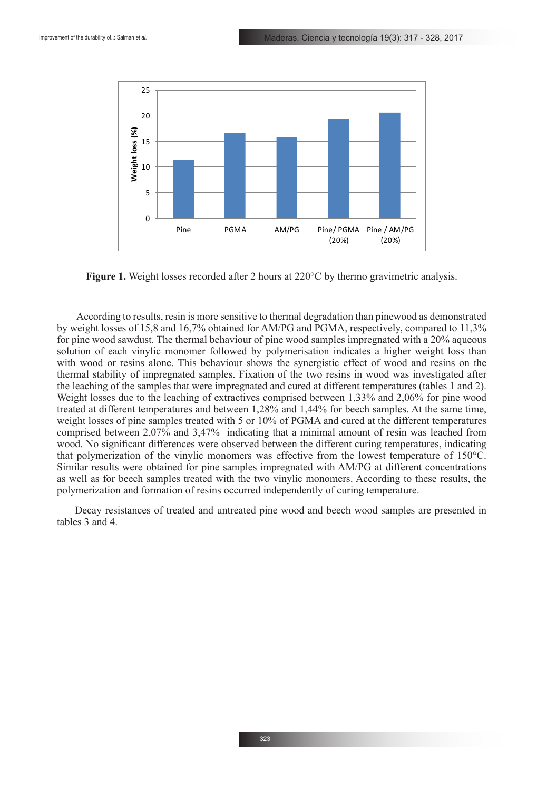

**Figure 1.** Weight losses recorded after 2 hours at 220°C by thermo gravimetric analysis.

 According to results, resin is more sensitive to thermal degradation than pinewood as demonstrated by weight losses of 15,8 and 16,7% obtained for AM/PG and PGMA, respectively, compared to 11,3% for pine wood sawdust. The thermal behaviour of pine wood samples impregnated with a 20% aqueous solution of each vinylic monomer followed by polymerisation indicates a higher weight loss than with wood or resins alone. This behaviour shows the synergistic effect of wood and resins on the thermal stability of impregnated samples. Fixation of the two resins in wood was investigated after the leaching of the samples that were impregnated and cured at different temperatures (tables 1 and 2). Weight losses due to the leaching of extractives comprised between 1,33% and 2,06% for pine wood treated at different temperatures and between 1,28% and 1,44% for beech samples. At the same time, weight losses of pine samples treated with 5 or 10% of PGMA and cured at the different temperatures comprised between 2,07% and 3,47% indicating that a minimal amount of resin was leached from wood. No significant differences were observed between the different curing temperatures, indicating that polymerization of the vinylic monomers was effective from the lowest temperature of 150°C. Similar results were obtained for pine samples impregnated with AM/PG at different concentrations as well as for beech samples treated with the two vinylic monomers. According to these results, the polymerization and formation of resins occurred independently of curing temperature.

Decay resistances of treated and untreated pine wood and beech wood samples are presented in tables 3 and 4.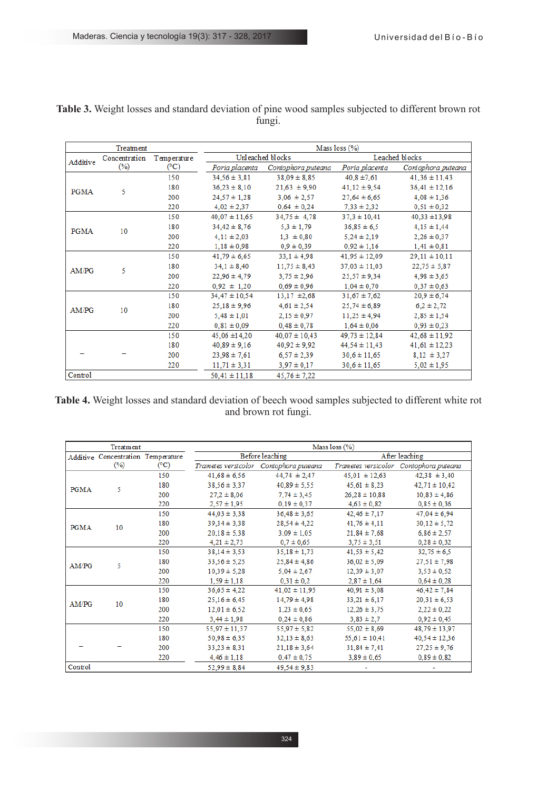|             | Treatment     |             | Mass loss $(\%)$  |                    |                   |                    |  |
|-------------|---------------|-------------|-------------------|--------------------|-------------------|--------------------|--|
| Additive    | Concentration | Temperature | Unleached blocks  |                    |                   | Leached blocks     |  |
|             | (%)           | (°C)        | Poria placenta    | Coniophora puteana | Poria placenta    | Coniophora puteana |  |
| <b>PGMA</b> |               | 150         | $34.56 \pm 3.81$  | $38.09 \pm 8.85$   | $40.8 \pm 7.61$   | $41,36 \pm 11,43$  |  |
|             | 5             | 180         | $36.23 \pm 8.10$  | $21,63 \pm 9,90$   | $41,12 \pm 9,54$  | $36,41 \pm 12,16$  |  |
|             |               | 200         | $24.57 \pm 1.28$  | $3,06 \pm 2,57$    | $27,64 \pm 6,65$  | $4.08 \pm 1.36$    |  |
|             |               | 220         | $4,02 \pm 2,37$   | $0,64 \pm 0,24$    | $7,33 \pm 2,32$   | $0,51 \pm 0,32$    |  |
|             |               | 150         | $40,07 \pm 11,65$ | $34.75 \pm 4.78$   | $37,3 \pm 10,41$  | $40,33 \pm 13,98$  |  |
| <b>PGMA</b> | 10            | 180         | $34.42 \pm 8.76$  | $5.3 \pm 1.79$     | $36,85 \pm 6,5$   | $4.15 \pm 1.44$    |  |
|             |               | 200         | $4,11 \pm 2,03$   | $1.3 \pm 0.80$     | $5,24 \pm 2,19$   | $2,26 \pm 0.37$    |  |
|             |               | 220         | $1,18 \pm 0,98$   | $0,9 \pm 0,39$     | $0,92 \pm 1,16$   | $1,41 \pm 0,81$    |  |
|             | 5             | 150         | $41.79 \pm 6.65$  | $33.1 \pm 4.98$    | $41.95 \pm 12.09$ | $29,11 \pm 10,11$  |  |
| AM/PG       |               | 180         | $34.1 \pm 8.40$   | $11,75 \pm 8,43$   | $37,03 \pm 11,03$ | $22.75 \pm 5.87$   |  |
|             |               | 200         | $22.96 \pm 4.79$  | $3.75 \pm 2.96$    | $25,57 \pm 9,34$  | $4,98 \pm 3,65$    |  |
|             |               | 220         | $0.92 \pm 1.20$   | $0.69 \pm 0.96$    | $1,04 \pm 0,70$   | $0,37 \pm 0,63$    |  |
|             |               | 150         | $34.47 \pm 10.54$ | $13.17 \pm 2.68$   | $31,67 \pm 7,62$  | $20,9 \pm 6,74$    |  |
| AM/PG       | 10            | 180         | $25,18 \pm 9,96$  | $4,61 \pm 2,54$    | $25,74 \pm 6,89$  | $6.2 \pm 2.72$     |  |
|             |               | 200         | $5,48 \pm 1,01$   | $2,15 \pm 0.97$    | $11,25 \pm 4,94$  | $2,85 \pm 1,54$    |  |
|             |               | 220         | $0.81 \pm 0.09$   | $0.48 \pm 0.78$    | $1,64 \pm 0,06$   | $0,93 \pm 0,23$    |  |
|             |               | 150         | $45.06 \pm 14.20$ | $40,07 \pm 10,43$  | $49.73 \pm 12.84$ | $42,68 \pm 11,92$  |  |
|             |               | 180         | $40.89 \pm 9.16$  | $40.92 \pm 9.92$   | $44,54 \pm 11,43$ | $41,61 \pm 12,23$  |  |
|             |               | 200         | $23.98 \pm 7.61$  | $6,57 \pm 2,39$    | $30,6 \pm 11,65$  | $8,12 \pm 3,27$    |  |
|             |               | 220         | $11.71 \pm 3.31$  | $3.97 \pm 0.17$    | $30,6 \pm 11,65$  | $5.02 \pm 1.95$    |  |
| Control     |               |             | $50.41 \pm 11.18$ | $45.76 \pm 7.22$   |                   |                    |  |

**Table 3.** Weight losses and standard deviation of pine wood samples subjected to different brown rot fungi.

**Table 4.** Weight losses and standard deviation of beech wood samples subjected to different white rot and brown rot fungi.

| Treatment                          |        |                 | Mass $\log$ (%)   |                                        |                   |                                        |  |
|------------------------------------|--------|-----------------|-------------------|----------------------------------------|-------------------|----------------------------------------|--|
| Additive Concentration Temperature |        |                 | Before leaching   |                                        | After leaching    |                                        |  |
|                                    | $(\%)$ | $({}^{\circ}C)$ |                   | Trametes versicolor Coniophora puteana |                   | Tranetes versicolor Coniophora puteana |  |
| <b>PGMA</b>                        |        | 150             | $41.68 \pm 6.56$  | $44.74 \pm 2.47$                       | $45.01 \pm 12.63$ | $42.38 \pm 3.40$                       |  |
|                                    | 5      | 180             | $38,56 \pm 3,37$  | $40,89 \pm 5,55$                       | $45,61 \pm 8,23$  | $42,71 \pm 10,42$                      |  |
|                                    |        | 200             | $27.2 \pm 8.06$   | $7.74 \pm 3.45$                        | $26.28 \pm 10.88$ | $10,83 \pm 4,86$                       |  |
|                                    |        | 220             | $2,57 \pm 1,95$   | $0.19 \pm 0.37$                        | $4,63 \pm 0,82$   | $0,85 \pm 0,36$                        |  |
|                                    |        | 150             | $44.03 \pm 3.38$  | $36,48 \pm 3,65$                       | $42,46 \pm 7,17$  | $47,04 \pm 6,94$                       |  |
| <b>PGMA</b>                        | 10     | 180             | $39.34 \pm 3.38$  | $28,54 \pm 4,22$                       | $41,76 \pm 4,11$  | $30,12 \pm 5,72$                       |  |
|                                    |        | 200             | $20.18 \pm 5.38$  | $3.09 \pm 1.05$                        | $21,84 \pm 7,68$  | $6,86 \pm 2,57$                        |  |
|                                    |        | 220             | $4,21 \pm 2,73$   | $0.7 \pm 0.65$                         | $3,75 \pm 3,51$   | $0,28 \pm 0,32$                        |  |
|                                    | 5      | 150             | $38,14 \pm 3,53$  | $35.18 \pm 1.73$                       | $41,53 \pm 5,42$  | $32,75 \pm 6.5$                        |  |
| AM/PG                              |        | 180             | $33,56 \pm 5,25$  | $25,84 \pm 4,86$                       | $36,02 \pm 5,09$  | $27,51 \pm 7,98$                       |  |
|                                    |        | 200             | $10.39 \pm 5.28$  | $5,04 \pm 2,67$                        | $12,39 \pm 3,07$  | $3,53 \pm 0,52$                        |  |
|                                    |        | 220             | $1,59 \pm 1,18$   | $0.31 \pm 0.2$                         | $2.87 \pm 1.64$   | $0.64 \pm 0.28$                        |  |
|                                    |        | 150             | $36,65 \pm 4,22$  | $41,02 \pm 11,95$                      | $40,91 \pm 3,08$  | $46,42 \pm 7,84$                       |  |
| AM/PG                              | 10     | 180             | $25.16 \pm 6.45$  | $14.79 \pm 4.98$                       | $33,21 \pm 6,17$  | $20,31 \pm 6,53$                       |  |
|                                    |        | 200             | $12.01 \pm 6.52$  | $1,23 \pm 0,65$                        | $12,26 \pm 3,75$  | $2,22 \pm 0,22$                        |  |
|                                    |        | 220             | $3,44 \pm 1,98$   | $0,24 \pm 0,86$                        | $3.83 \pm 2.7$    | $0,92 \pm 0,45$                        |  |
|                                    |        | 150             | $55,97 \pm 11,37$ | $55.97 \pm 5.82$                       | $55,02 \pm 8,69$  | $48,79 \pm 13,97$                      |  |
|                                    |        | 180             | $50,98 \pm 6,35$  | $32,13 \pm 8,63$                       | $55,61 \pm 10,41$ | $40,54 \pm 12,36$                      |  |
|                                    |        | 200             | $33.23 \pm 8.31$  | $21.18 \pm 3.64$                       | $31,84 \pm 7,41$  | $27.25 \pm 9.76$                       |  |
|                                    |        | 220             | $4,46 \pm 1,18$   | $0,47 \pm 0,75$                        | $3,89 \pm 0,65$   | $0,89 \pm 0,82$                        |  |
| Control                            |        |                 | $52.99 \pm 8.84$  | $49.54 \pm 9.83$                       |                   |                                        |  |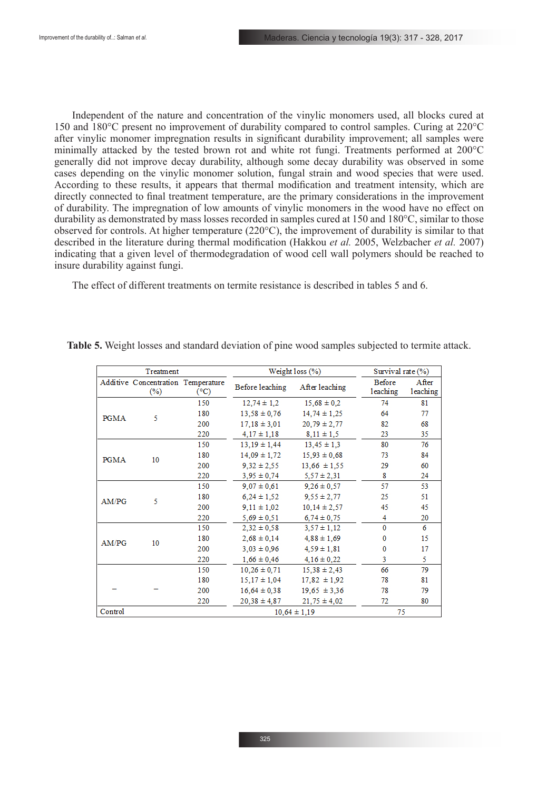Independent of the nature and concentration of the vinylic monomers used, all blocks cured at 150 and 180°C present no improvement of durability compared to control samples. Curing at 220°C after vinylic monomer impregnation results in significant durability improvement; all samples were minimally attacked by the tested brown rot and white rot fungi. Treatments performed at 200°C generally did not improve decay durability, although some decay durability was observed in some cases depending on the vinylic monomer solution, fungal strain and wood species that were used. According to these results, it appears that thermal modification and treatment intensity, which are directly connected to final treatment temperature, are the primary considerations in the improvement of durability. The impregnation of low amounts of vinylic monomers in the wood have no effect on durability as demonstrated by mass losses recorded in samples cured at 150 and 180°C, similar to those observed for controls. At higher temperature (220°C), the improvement of durability is similar to that described in the literature during thermal modification (Hakkou *et al.* 2005, Welzbacher *et al.* 2007) indicating that a given level of thermodegradation of wood cell wall polymers should be reached to insure durability against fungi.

The effect of different treatments on termite resistance is described in tables 5 and 6.

|                                   | Treatment                                    |                  |                  | Weight loss (%)  |                    |                   |
|-----------------------------------|----------------------------------------------|------------------|------------------|------------------|--------------------|-------------------|
|                                   | Additive Concentration Temperature<br>$(\%)$ | $(^{\circ}C)$    | Before leaching  | After leaching   | Before<br>leaching | After<br>leaching |
|                                   |                                              | 150              | $12.74 \pm 1.2$  | $15.68 \pm 0.2$  | 74                 | 81                |
|                                   | 5                                            | 180              | $13,58 \pm 0,76$ | $14.74 \pm 1.25$ | 64                 | 77                |
|                                   |                                              | 200              | $17.18 \pm 3.01$ | $20.79 \pm 2.77$ | 82                 | 68                |
|                                   |                                              | 220              | $4.17 \pm 1.18$  | $8,11 \pm 1,5$   | 23                 | 35                |
|                                   | 10                                           | 150              | $13.19 \pm 1.44$ | $13.45 \pm 1.3$  | 80                 | 76                |
| PGMA                              |                                              | 180              | $14,09 \pm 1,72$ | $15,93 \pm 0,68$ | 73                 | 84                |
|                                   |                                              | 200              | $9.32 \pm 2.55$  | $13,66 \pm 1,55$ | 29                 | 60                |
|                                   |                                              | 220              | $3,95 \pm 0,74$  | $5,57 \pm 2,31$  | 8                  | 24                |
|                                   | 5                                            | 150              | $9.07 \pm 0.61$  | $9.26 \pm 0.57$  | 57                 | 53                |
|                                   |                                              | 180              | $6.24 \pm 1.52$  | $9.55 \pm 2.77$  | 25                 | 51                |
| PGMA<br>AM/PG<br>AM/PG<br>Control |                                              | 200              | $9.11 \pm 1.02$  | $10.14 \pm 2.57$ | 45                 | 45                |
|                                   |                                              | 220              | $5.69 \pm 0.51$  | $6.74 \pm 0.75$  | 4                  | 20                |
|                                   | 10                                           | 150              | $2.32 \pm 0.58$  | $3.57 \pm 1.12$  | $\mathbf{0}$       | 6                 |
|                                   |                                              | 180              | $2,68 \pm 0.14$  | $4.88 \pm 1.69$  | $\mathbf{0}$       | 15                |
|                                   |                                              | 200              | $3.03 \pm 0.96$  | $4,59 \pm 1,81$  | $\Omega$           | 17                |
|                                   |                                              | 220              | $1,66 \pm 0,46$  | $4.16 \pm 0.22$  | 3                  | 5                 |
|                                   |                                              | 150              | $10.26 \pm 0.71$ | $15.38 \pm 2.43$ | 66                 | 79                |
|                                   |                                              | 180              | $15,17 \pm 1,04$ | $17,82 \pm 1.92$ | 78                 | 81                |
|                                   |                                              | 200              | $16,64 \pm 0.38$ | $19,65 \pm 3,36$ | 78                 | 79                |
|                                   |                                              | 220              | $20.38 \pm 4.87$ | $21,75 \pm 4,02$ | 72                 | 80                |
|                                   |                                              | $10.64 \pm 1.19$ | 75               |                  |                    |                   |

**Table 5.** Weight losses and standard deviation of pine wood samples subjected to termite attack.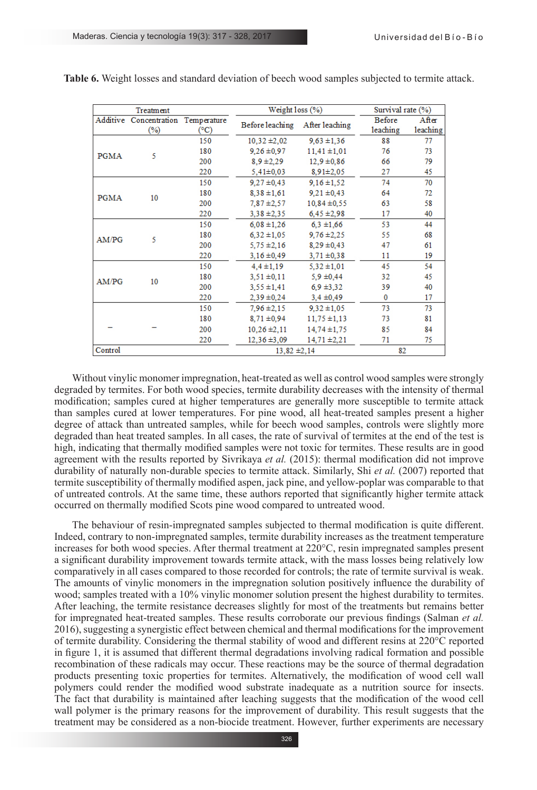| Treatment   |                                              |      | Weight loss (%)  |                  | Survival rate (%)  |                   |
|-------------|----------------------------------------------|------|------------------|------------------|--------------------|-------------------|
|             | Additive Concentration Temperature<br>$(\%)$ | (°C) | Before leaching  | After leaching   | Before<br>leaching | After<br>leaching |
| <b>PGMA</b> | 5                                            | 150  | $10,32 \pm 2,02$ | $9,63 \pm 1,36$  | 88                 | 77                |
|             |                                              | 180  | $9,26 \pm 0.97$  | $11,41 \pm 1,01$ | 76                 | 73                |
|             |                                              | 200  | $8,9 \pm 2,29$   | $12,9 \pm 0.86$  | 66                 | 79                |
|             |                                              | 220  | $5,41\pm0,03$    | $8,91\pm2,05$    | 27                 | 45                |
|             |                                              | 150  | $9,27 \pm 0,43$  | $9,16 \pm 1,52$  | 74                 | 70                |
| <b>PGMA</b> | 10                                           | 180  | $8,38 \pm 1,61$  | $9,21 \pm 0,43$  | 64                 | 72                |
|             |                                              | 200  | $7.87 \pm 2.57$  | $10,84 \pm 0.55$ | 63                 | 58                |
|             |                                              | 220  | $3,38 \pm 2,35$  | $6,45 \pm 2,98$  | 17                 | 40                |
|             | 5                                            | 150  | $6,08 \pm 1,26$  | $6.3 \pm 1.66$   | 53                 | 44                |
| AM/PG       |                                              | 180  | $6,32 \pm 1,05$  | $9.76 \pm 2.25$  | 55                 | 68                |
|             |                                              | 200  | $5.75 \pm 2.16$  | $8.29 \pm 0.43$  | 47                 | 61                |
|             |                                              | 220  | $3,16 \pm 0,49$  | $3,71 \pm 0,38$  | 11                 | 19                |
|             | 10                                           | 150  | $4.4 \pm 1.19$   | $5.32 \pm 1.01$  | 45                 | 54                |
| AM/PG       |                                              | 180  | $3.51 \pm 0.11$  | $5.9 \pm 0.44$   | 32                 | 45                |
|             |                                              | 200  | $3,55 \pm 1,41$  | $6.9 \pm 3.32$   | 39                 | 40                |
|             |                                              | 220  | $2,39 \pm 0,24$  | $3,4 \pm 0,49$   | $\mathbf{0}$       | 17                |
|             |                                              | 150  | $7.96 \pm 2.15$  | $9.32 \pm 1.05$  | 73                 | 73                |
|             |                                              | 180  | $8,71 \pm 0,94$  | $11,75 \pm 1,13$ | 73                 | 81                |
|             |                                              | 200  | $10.26 \pm 2.11$ | $14.74 \pm 1.75$ | 85                 | 84                |
|             |                                              | 220  | $12,36 \pm 3,09$ | $14,71 \pm 2,21$ | 71                 | 75                |
| Control     |                                              |      | $13,82 \pm 2,14$ |                  | 82                 |                   |

**Table 6.** Weight losses and standard deviation of beech wood samples subjected to termite attack.

Without vinylic monomer impregnation, heat-treated as well as control wood samples were strongly degraded by termites. For both wood species, termite durability decreases with the intensity of thermal modification; samples cured at higher temperatures are generally more susceptible to termite attack than samples cured at lower temperatures. For pine wood, all heat-treated samples present a higher degree of attack than untreated samples, while for beech wood samples, controls were slightly more degraded than heat treated samples. In all cases, the rate of survival of termites at the end of the test is high, indicating that thermally modified samples were not toxic for termites. These results are in good agreement with the results reported by Sivrikaya *et al.* (2015): thermal modification did not improve durability of naturally non-durable species to termite attack. Similarly, Shi *et al.* (2007) reported that termite susceptibility of thermally modified aspen, jack pine, and yellow-poplar was comparable to that of untreated controls. At the same time, these authors reported that significantly higher termite attack occurred on thermally modified Scots pine wood compared to untreated wood.

The behaviour of resin-impregnated samples subjected to thermal modification is quite different. Indeed, contrary to non-impregnated samples, termite durability increases as the treatment temperature increases for both wood species. After thermal treatment at 220°C, resin impregnated samples present a significant durability improvement towards termite attack, with the mass losses being relatively low comparatively in all cases compared to those recorded for controls; the rate of termite survival is weak. The amounts of vinylic monomers in the impregnation solution positively influence the durability of wood; samples treated with a 10% vinylic monomer solution present the highest durability to termites. After leaching, the termite resistance decreases slightly for most of the treatments but remains better for impregnated heat-treated samples. These results corroborate our previous findings (Salman *et al.* 2016), suggesting a synergistic effect between chemical and thermal modifications for the improvement of termite durability. Considering the thermal stability of wood and different resins at 220°C reported in figure 1, it is assumed that different thermal degradations involving radical formation and possible recombination of these radicals may occur. These reactions may be the source of thermal degradation products presenting toxic properties for termites. Alternatively, the modification of wood cell wall polymers could render the modified wood substrate inadequate as a nutrition source for insects. The fact that durability is maintained after leaching suggests that the modification of the wood cell wall polymer is the primary reasons for the improvement of durability. This result suggests that the treatment may be considered as a non-biocide treatment. However, further experiments are necessary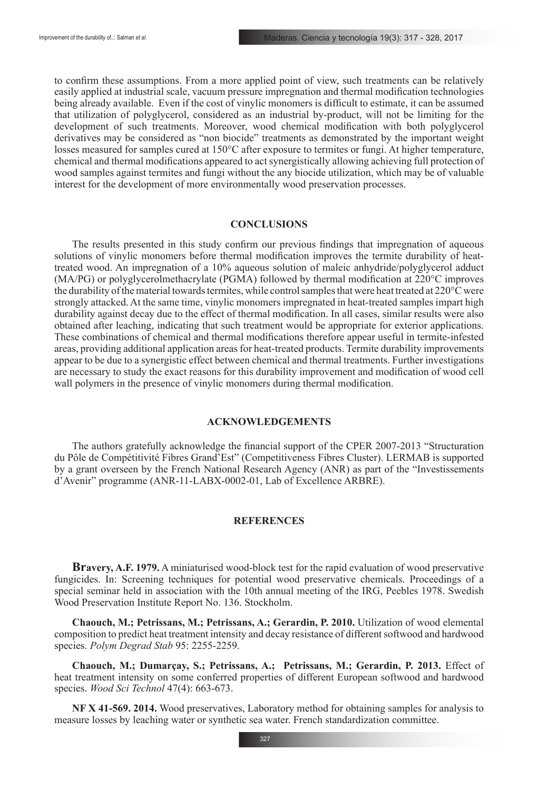to confirm these assumptions. From a more applied point of view, such treatments can be relatively easily applied at industrial scale, vacuum pressure impregnation and thermal modification technologies being already available. Even if the cost of vinylic monomers is difficult to estimate, it can be assumed that utilization of polyglycerol, considered as an industrial by-product, will not be limiting for the development of such treatments. Moreover, wood chemical modification with both polyglycerol derivatives may be considered as "non biocide" treatments as demonstrated by the important weight losses measured for samples cured at 150°C after exposure to termites or fungi. At higher temperature, chemical and thermal modifications appeared to act synergistically allowing achieving full protection of wood samples against termites and fungi without the any biocide utilization, which may be of valuable interest for the development of more environmentally wood preservation processes.

# **CONCLUSIONS**

The results presented in this study confirm our previous findings that impregnation of aqueous solutions of vinylic monomers before thermal modification improves the termite durability of heattreated wood. An impregnation of a 10% aqueous solution of maleic anhydride/polyglycerol adduct (MA/PG) or polyglycerolmethacrylate (PGMA) followed by thermal modification at 220°C improves the durability of the material towards termites, while control samples that were heat treated at 220°C were strongly attacked. At the same time, vinylic monomers impregnated in heat-treated samples impart high durability against decay due to the effect of thermal modification. In all cases, similar results were also obtained after leaching, indicating that such treatment would be appropriate for exterior applications. These combinations of chemical and thermal modifications therefore appear useful in termite-infested areas, providing additional application areas for heat-treated products. Termite durability improvements appear to be due to a synergistic effect between chemical and thermal treatments. Further investigations are necessary to study the exact reasons for this durability improvement and modification of wood cell wall polymers in the presence of vinylic monomers during thermal modification.

# **ACKNOWLEDGEMENTS**

The authors gratefully acknowledge the financial support of the CPER 2007-2013 "Structuration du Pôle de Compétitivité Fibres Grand'Est" (Competitiveness Fibres Cluster). LERMAB is supported by a grant overseen by the French National Research Agency (ANR) as part of the "Investissements d'Avenir" programme (ANR-11-LABX-0002-01, Lab of Excellence ARBRE).

# **REFERENCES**

**Bravery, A.F. 1979.** A miniaturised wood-block test for the rapid evaluation of wood preservative fungicides. In: Screening techniques for potential wood preservative chemicals. Proceedings of a special seminar held in association with the 10th annual meeting of the IRG, Peebles 1978. Swedish Wood Preservation Institute Report No. 136. Stockholm.

**Chaouch, M.; Petrissans, M.; Petrissans, A.; Gerardin, P. 2010.** Utilization of wood elemental composition to predict heat treatment intensity and decay resistance of different softwood and hardwood species. *Polym Degrad Stab* 95: 2255-2259.

**Chaouch, M.; Dumarçay, S.; Petrissans, A.; Petrissans, M.; Gerardin, P. 2013.** Effect of heat treatment intensity on some conferred properties of different European softwood and hardwood species. *Wood Sci Technol* 47(4): 663-673.

**NF X 41-569. 2014.** Wood preservatives, Laboratory method for obtaining samples for analysis to measure losses by leaching water or synthetic sea water. French standardization committee.